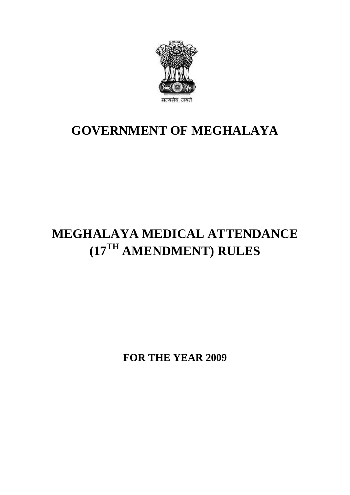

## **GOVERNMENT OF MEGHALAYA**

## **MEGHALAYA MEDICAL ATTENDANCE (17TH AMENDMENT) RULES**

**FOR THE YEAR 2009**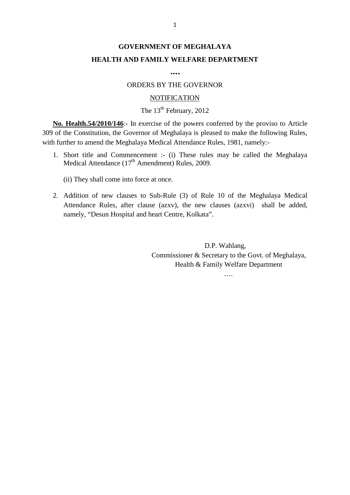### **GOVERNMENT OF MEGHALAYA HEALTH AND FAMILY WELFARE DEPARTMENT**

**….**

#### ORDERS BY THE GOVERNOR

#### **NOTIFICATION**

#### The  $13<sup>th</sup>$  February, 2012

**No. Health.54/2010/146**:- In exercise of the powers conferred by the proviso to Article 309 of the Constitution, the Governor of Meghalaya is pleased to make the following Rules, with further to amend the Meghalaya Medical Attendance Rules, 1981, namely:- **1. Short The Alternative State of the provision of Meghalaya is pleased to make the following Rules,**<br>1. Short title and the Meghalaya Medical Attendance Rules, 1981, namely:-<br>1. Short title and Commencement :- (i) These **Health.54/2010/146**:- In exercise of the powers confer<br>the Constitution, the Governor of Meghalaya is pleased<br>tther to amend the Meghalaya Medical Attendance Rules.<br>Short title and Commencement :- (i) These rules ma<br>Medi

(ii) They shall come into force at once.

2. Addition of new clauses to Sub-Rule (3) of Rule 10 of the Meghalaya Medical Attendance (17<sup>th</sup> Amendment) Rules, 2009.<br>
2. Addition of new clauses to Sub-Rule (3) of Rule 10 of the Meghalaya Medical Attendance Rules, a Medical Attendance  $(17^{th}$  Amendment) Rules, 2009.<br>
(ii) They shall come into force at once.<br>
2. Addition of new clauses to Sub-Rule (3) of Rule 10 of the Meghalaya Medical<br>
Attendance Rules, after clause (azxv), the new (ii) They shall come into force at once.<br>
Addition of new clauses to Sub-Rule (3) of Rule 10 of the Me<br>
Attendance Rules, after clause (azxv), the new clauses (azxvi)<br>
namely, "Desun Hospital and heart Centre, Kolkata".<br>
D

Commissioner & Secretary to the Govt. of Meghalaya, Health & Family Welfare Department

….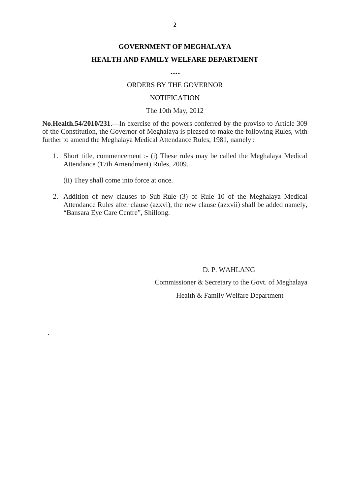### **GOVERNMENT OF MEGHALAYA HEALTH AND FAMILY WELFARE DEPARTMENT**

**….**

#### ORDERS BY THE GOVERNOR

#### **NOTIFICATION**

#### The 10th May, 2012

**No.Health.54/2010/231**.—In exercise of the powers conferred by the proviso to Article 309 **NOTIFICATION**<br>The 10th May, 2012<br>No.Health.54/2010/231.—In exercise of the powers conferred by the proviso to Article 309<br>of the Constitution, the Governor of Meghalaya is pleased to make the following Rules, with<br>further further to amend the Meghalaya Medical Attendance Rules, 1981, namely : 1. Sales 1. Sales 1. Short title, commencement is element of Meghalaya is pleased to make the following Rules, with<br>ther to amend the Meghalaya Medical Attendance Rules, 1981, namely :<br>1. Short title, commencement :- (i) T **atth.54/2010/231.**—In exercise of the powers co<br>Constitution, the Governor of Meghalaya is pleas<br>to amend the Meghalaya Medical Attendance Ru<br>Short title, commencement :- (i) These rules m<br>Attendance (17th Amendment) Rul

1. Short title, commencement :- (i) These rules may be called the Meghalaya Medical<br>Attendance (17th Amendment) Rules, 2009.<br>(ii) They shall come into force at once.<br>2. Addition of new clauses to Sub-Rule (3) of Rule 10 of

.

2. Addition of new clauses to Sub-Rule (3) of Rule 10 of the Meghalaya Medical<br>2. Addition of new clauses to Sub-Rule (3) of Rule 10 of the Meghalaya Medical<br>2. Addition of new clauses to Sub-Rule (3) of Rule 10 of the Meg Attendance (17th Amendment) Rules, 2009.<br>
(ii) They shall come into force at once.<br>
Addition of new clauses to Sub-Rule (3) of Rule 10 of the Meghalaya Medical<br>
Attendance Rules after clause (azxvi), the new clause (azxvii "Bansara Eye Care Centre", Shillong.

> D. P. WAHLANG Commissioner & Secretary to the Govt. of Meghalaya Health & Family Welfare Department